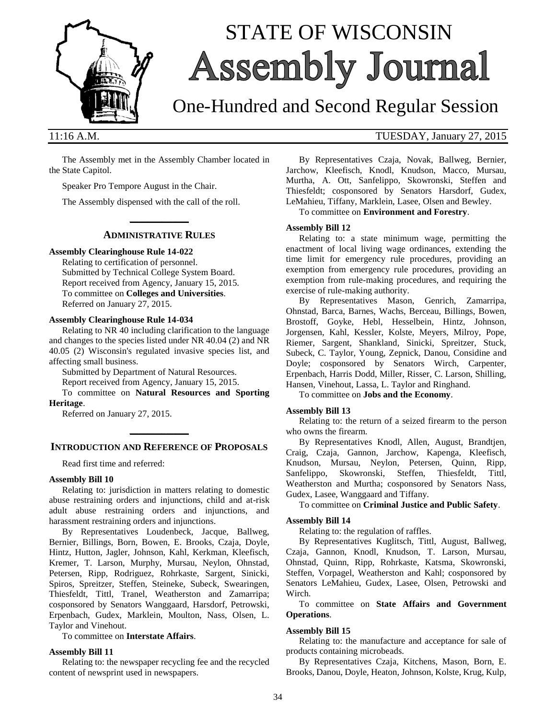

# STATE OF WISCONSIN **Assembly Journal**

## One-Hundred and Second Regular Session

The Assembly met in the Assembly Chamber located in the State Capitol.

Speaker Pro Tempore August in the Chair.

The Assembly dispensed with the call of the roll.

#### **\_\_\_\_\_\_\_\_\_\_\_\_\_ ADMINISTRATIVE RULES**

#### **Assembly Clearinghouse Rule 14-022**

Relating to certification of personnel. Submitted by Technical College System Board. Report received from Agency, January 15, 2015. To committee on **Colleges and Universities**. Referred on January 27, 2015.

#### **Assembly Clearinghouse Rule 14-034**

Relating to NR 40 including clarification to the language and changes to the species listed under NR 40.04 (2) and NR 40.05 (2) Wisconsin's regulated invasive species list, and affecting small business.

Submitted by Department of Natural Resources.

Report received from Agency, January 15, 2015.

To committee on **Natural Resources and Sporting Heritage**.

Referred on January 27, 2015.

### **\_\_\_\_\_\_\_\_\_\_\_\_\_ INTRODUCTION AND REFERENCE OF PROPOSALS**

Read first time and referred:

#### **Assembly Bill 10**

Relating to: jurisdiction in matters relating to domestic abuse restraining orders and injunctions, child and at-risk adult abuse restraining orders and injunctions, and harassment restraining orders and injunctions.

By Representatives Loudenbeck, Jacque, Ballweg, Bernier, Billings, Born, Bowen, E. Brooks, Czaja, Doyle, Hintz, Hutton, Jagler, Johnson, Kahl, Kerkman, Kleefisch, Kremer, T. Larson, Murphy, Mursau, Neylon, Ohnstad, Petersen, Ripp, Rodriguez, Rohrkaste, Sargent, Sinicki, Spiros, Spreitzer, Steffen, Steineke, Subeck, Swearingen, Thiesfeldt, Tittl, Tranel, Weatherston and Zamarripa; cosponsored by Senators Wanggaard, Harsdorf, Petrowski, Erpenbach, Gudex, Marklein, Moulton, Nass, Olsen, L. Taylor and Vinehout.

To committee on **Interstate Affairs**.

#### **Assembly Bill 11**

Relating to: the newspaper recycling fee and the recycled content of newsprint used in newspapers.

#### 11:16 A.M. TUESDAY, January 27, 2015

By Representatives Czaja, Novak, Ballweg, Bernier, Jarchow, Kleefisch, Knodl, Knudson, Macco, Mursau, Murtha, A. Ott, Sanfelippo, Skowronski, Steffen and Thiesfeldt; cosponsored by Senators Harsdorf, Gudex, LeMahieu, Tiffany, Marklein, Lasee, Olsen and Bewley.

To committee on **Environment and Forestry**.

#### **Assembly Bill 12**

Relating to: a state minimum wage, permitting the enactment of local living wage ordinances, extending the time limit for emergency rule procedures, providing an exemption from emergency rule procedures, providing an exemption from rule-making procedures, and requiring the exercise of rule-making authority.

By Representatives Mason, Genrich, Zamarripa, Ohnstad, Barca, Barnes, Wachs, Berceau, Billings, Bowen, Brostoff, Goyke, Hebl, Hesselbein, Hintz, Johnson, Jorgensen, Kahl, Kessler, Kolste, Meyers, Milroy, Pope, Riemer, Sargent, Shankland, Sinicki, Spreitzer, Stuck, Subeck, C. Taylor, Young, Zepnick, Danou, Considine and Doyle; cosponsored by Senators Wirch, Carpenter, Erpenbach, Harris Dodd, Miller, Risser, C. Larson, Shilling, Hansen, Vinehout, Lassa, L. Taylor and Ringhand.

To committee on **Jobs and the Economy**.

#### **Assembly Bill 13**

Relating to: the return of a seized firearm to the person who owns the firearm.

By Representatives Knodl, Allen, August, Brandtjen, Craig, Czaja, Gannon, Jarchow, Kapenga, Kleefisch, Knudson, Mursau, Neylon, Petersen, Quinn, Ripp, Sanfelippo, Skowronski, Steffen, Thiesfeldt, Tittl, Weatherston and Murtha; cosponsored by Senators Nass, Gudex, Lasee, Wanggaard and Tiffany.

#### To committee on **Criminal Justice and Public Safety**.

#### **Assembly Bill 14**

Relating to: the regulation of raffles.

By Representatives Kuglitsch, Tittl, August, Ballweg, Czaja, Gannon, Knodl, Knudson, T. Larson, Mursau, Ohnstad, Quinn, Ripp, Rohrkaste, Katsma, Skowronski, Steffen, Vorpagel, Weatherston and Kahl; cosponsored by Senators LeMahieu, Gudex, Lasee, Olsen, Petrowski and Wirch.

To committee on **State Affairs and Government Operations**.

#### **Assembly Bill 15**

Relating to: the manufacture and acceptance for sale of products containing microbeads.

By Representatives Czaja, Kitchens, Mason, Born, E. Brooks, Danou, Doyle, Heaton, Johnson, Kolste, Krug, Kulp,